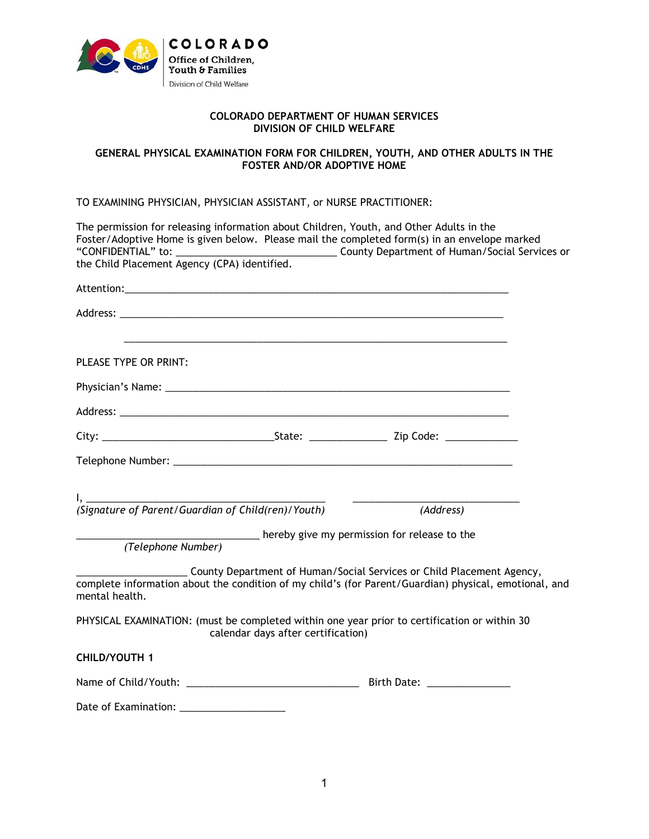

## **COLORADO DEPARTMENT OF HUMAN SERVICES DIVISION OF CHILD WELFARE**

## **GENERAL PHYSICAL EXAMINATION FORM FOR CHILDREN, YOUTH, AND OTHER ADULTS IN THE FOSTER AND/OR ADOPTIVE HOME**

## TO EXAMINING PHYSICIAN, PHYSICIAN ASSISTANT, or NURSE PRACTITIONER:

| The permission for releasing information about Children, Youth, and Other Adults in the<br>Foster/Adoptive Home is given below. Please mail the completed form(s) in an envelope marked          |  |
|--------------------------------------------------------------------------------------------------------------------------------------------------------------------------------------------------|--|
|                                                                                                                                                                                                  |  |
|                                                                                                                                                                                                  |  |
| PLEASE TYPE OR PRINT:                                                                                                                                                                            |  |
|                                                                                                                                                                                                  |  |
|                                                                                                                                                                                                  |  |
|                                                                                                                                                                                                  |  |
|                                                                                                                                                                                                  |  |
|                                                                                                                                                                                                  |  |
| (Address)                                                                                                                                                                                        |  |
| hereby give my permission for release to the<br>(Telephone Number)                                                                                                                               |  |
| County Department of Human/Social Services or Child Placement Agency,<br>complete information about the condition of my child's (for Parent/Guardian) physical, emotional, and<br>mental health. |  |
| PHYSICAL EXAMINATION: (must be completed within one year prior to certification or within 30<br>calendar days after certification)                                                               |  |
| <b>CHILD/YOUTH 1</b>                                                                                                                                                                             |  |
|                                                                                                                                                                                                  |  |
| Date of Examination: _____________________                                                                                                                                                       |  |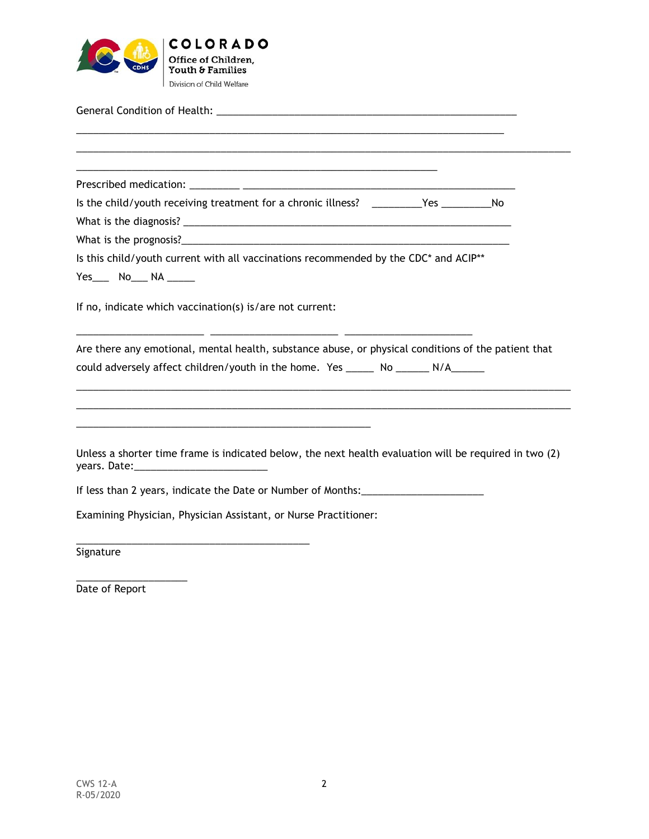

General Condition of Health: \_\_\_\_\_\_\_\_\_\_\_\_\_\_\_\_\_\_\_\_\_\_\_\_\_\_\_\_\_\_\_\_\_\_\_\_\_\_\_\_\_\_\_\_\_\_\_\_\_\_\_\_\_\_

\_\_\_\_\_\_\_\_\_\_\_\_\_\_\_\_\_\_\_\_\_\_\_\_\_\_\_\_\_\_\_\_\_\_\_\_\_\_\_\_\_\_\_\_\_\_\_\_\_\_\_\_\_\_\_\_\_\_\_\_\_\_\_\_\_\_\_\_\_\_\_\_\_\_\_\_\_ \_\_\_\_\_\_\_\_\_\_\_\_\_\_\_\_\_\_\_\_\_\_\_\_\_\_\_\_\_\_\_\_\_\_\_\_\_\_\_\_\_\_\_\_\_\_\_\_\_\_\_\_\_\_\_\_\_\_\_\_\_\_\_\_\_\_\_\_\_\_\_\_\_\_\_\_\_\_\_\_\_\_\_\_\_\_\_\_\_ \_\_\_\_\_\_\_\_\_\_\_\_\_\_\_\_\_\_\_\_\_\_\_\_\_\_\_\_\_\_\_\_\_\_\_\_\_\_\_\_\_\_\_\_\_\_\_\_\_\_\_\_\_\_\_\_\_\_\_\_\_\_\_\_\_ Prescribed medication: \_\_\_\_\_\_\_\_\_ \_\_\_\_\_\_\_\_\_\_\_\_\_\_\_\_\_\_\_\_\_\_\_\_\_\_\_\_\_\_\_\_\_\_\_\_\_\_\_\_\_\_\_\_\_\_\_\_\_ Is the child/youth receiving treatment for a chronic illness? \_\_\_\_\_\_\_\_\_Yes \_\_\_\_\_\_\_\_\_No What is the diagnosis? \_\_\_\_\_\_\_\_\_\_\_\_\_\_\_\_\_\_\_\_\_\_\_\_\_\_\_\_\_\_\_\_\_\_\_\_\_\_\_\_\_\_\_\_\_\_\_\_\_\_\_\_\_\_\_\_\_\_\_ What is the prognosis?\_\_\_\_\_\_\_\_\_\_\_\_\_\_\_\_\_\_\_\_\_\_\_\_\_\_\_\_\_\_\_\_\_\_\_\_\_\_\_\_\_\_\_\_\_\_\_\_\_\_\_\_\_\_\_\_\_\_\_ Is this child/youth current with all vaccinations recommended by the CDC\* and ACIP\*\* Yes\_\_\_\_ No\_\_\_ NA \_\_\_\_\_\_ If no, indicate which vaccination(s) is/are not current: \_\_\_\_\_\_\_\_\_\_\_\_\_\_\_\_\_\_\_\_\_\_\_ \_\_\_\_\_\_\_\_\_\_\_\_\_\_\_\_\_\_\_\_\_\_\_ \_\_\_\_\_\_\_\_\_\_\_\_\_\_\_\_\_\_\_\_\_\_\_ Are there any emotional, mental health, substance abuse, or physical conditions of the patient that could adversely affect children/youth in the home. Yes \_\_\_\_\_\_ No \_\_\_\_\_\_ N/A\_\_\_\_\_\_ \_\_\_\_\_\_\_\_\_\_\_\_\_\_\_\_\_\_\_\_\_\_\_\_\_\_\_\_\_\_\_\_\_\_\_\_\_\_\_\_\_\_\_\_\_\_\_\_\_\_\_\_\_\_\_\_\_\_\_\_\_\_\_\_\_\_\_\_\_\_\_\_\_\_\_\_\_\_\_\_\_\_\_\_\_\_\_\_\_ \_\_\_\_\_\_\_\_\_\_\_\_\_\_\_\_\_\_\_\_\_\_\_\_\_\_\_\_\_\_\_\_\_\_\_\_\_\_\_\_\_\_\_\_\_\_\_\_\_\_\_\_\_\_\_\_\_\_\_\_\_\_\_\_\_\_\_\_\_\_\_\_\_\_\_\_\_\_\_\_\_\_\_\_\_\_\_\_\_ \_\_\_\_\_\_\_\_\_\_\_\_\_\_\_\_\_\_\_\_\_\_\_\_\_\_\_\_\_\_\_\_\_\_\_\_\_\_\_\_\_\_\_\_\_\_\_\_\_\_\_\_\_ Unless a shorter time frame is indicated below, the next health evaluation will be required in two (2) years. Date:\_\_\_\_\_\_\_\_\_\_\_\_\_\_\_\_\_\_\_\_\_\_\_\_ If less than 2 years, indicate the Date or Number of Months:\_\_\_\_\_\_\_\_\_\_\_\_\_\_\_\_\_\_\_\_ Examining Physician, Physician Assistant, or Nurse Practitioner: \_\_\_\_\_\_\_\_\_\_\_\_\_\_\_\_\_\_\_\_\_\_\_\_\_\_\_\_\_\_\_\_\_\_\_\_\_\_\_\_\_\_ Signature

Date of Report

\_\_\_\_\_\_\_\_\_\_\_\_\_\_\_\_\_\_\_\_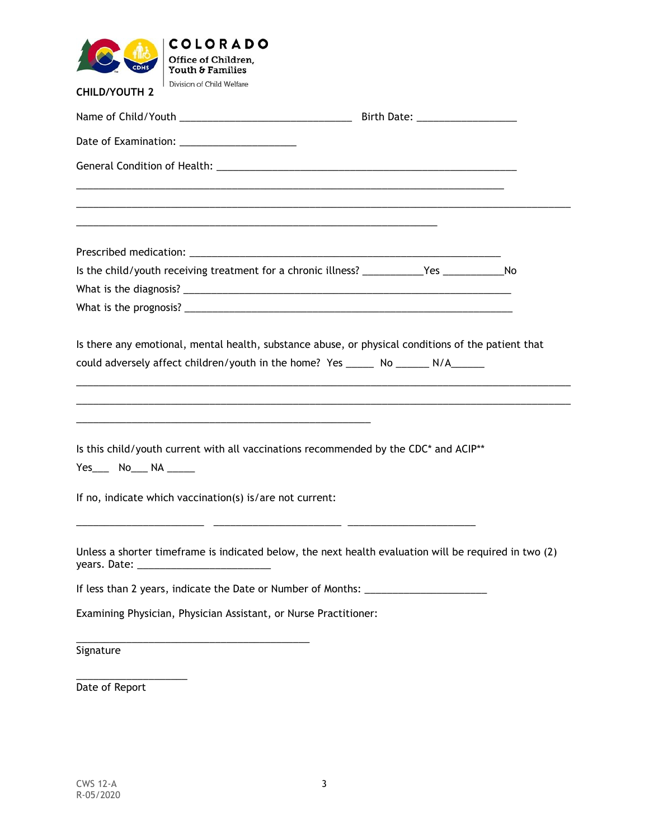|                        | <b>COLORADO</b><br>Office of Children,                                                                                                                                                                                        |  |  |
|------------------------|-------------------------------------------------------------------------------------------------------------------------------------------------------------------------------------------------------------------------------|--|--|
|                        | Youth & Families                                                                                                                                                                                                              |  |  |
| <b>CHILD/YOUTH 2</b>   | Division of Child Welfare                                                                                                                                                                                                     |  |  |
|                        |                                                                                                                                                                                                                               |  |  |
|                        |                                                                                                                                                                                                                               |  |  |
|                        |                                                                                                                                                                                                                               |  |  |
|                        | the control of the control of the control of the control of the control of the control of the control of the control of the control of the control of the control of the control of the control of the control of the control |  |  |
|                        | Is the child/youth receiving treatment for a chronic illness? ____________Yes ________________No                                                                                                                              |  |  |
|                        |                                                                                                                                                                                                                               |  |  |
|                        |                                                                                                                                                                                                                               |  |  |
|                        | <u> 1989 - Johann John Stein, markin film yn y brening yn y brening yn y brening yn y brening y brening yn y bre</u>                                                                                                          |  |  |
| Yes____ No___ NA _____ | Is this child/youth current with all vaccinations recommended by the CDC* and ACIP**                                                                                                                                          |  |  |
|                        | If no, indicate which vaccination(s) is/are not current:                                                                                                                                                                      |  |  |
|                        | Unless a shorter timeframe is indicated below, the next health evaluation will be required in two (2)                                                                                                                         |  |  |
|                        | If less than 2 years, indicate the Date or Number of Months: ____________________                                                                                                                                             |  |  |
|                        | Examining Physician, Physician Assistant, or Nurse Practitioner:                                                                                                                                                              |  |  |
| Signature              |                                                                                                                                                                                                                               |  |  |
| Date of Report         |                                                                                                                                                                                                                               |  |  |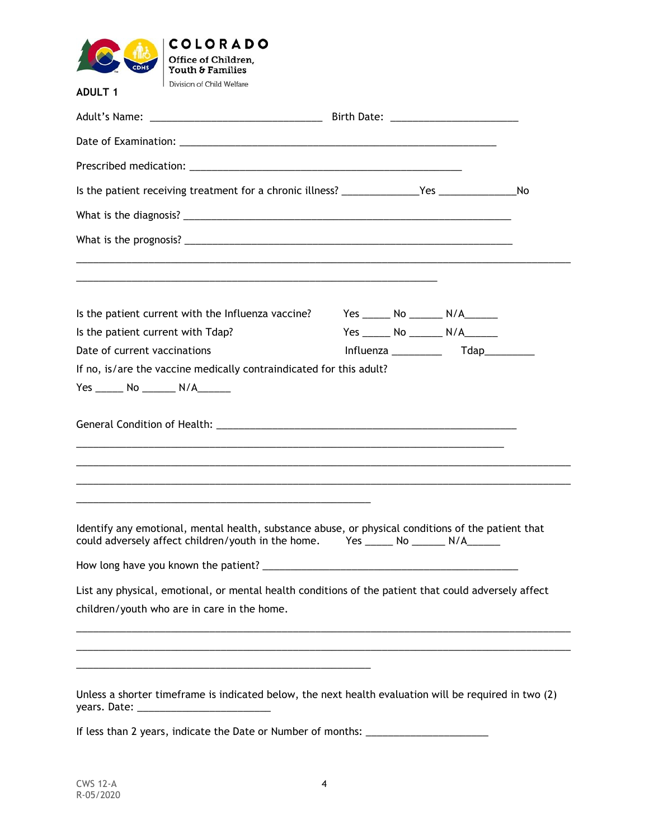

| <u> 1989 - Johann Stoff, amerikansk politiker (* 1908)</u><br>Is the patient current with the Influenza vaccine?                                                                                                                                       |  | Yes ________ No _________ N/A________ |  |
|--------------------------------------------------------------------------------------------------------------------------------------------------------------------------------------------------------------------------------------------------------|--|---------------------------------------|--|
| Is the patient current with Tdap?                                                                                                                                                                                                                      |  | Yes _______ No ________ N/A_______    |  |
| Date of current vaccinations                                                                                                                                                                                                                           |  |                                       |  |
| If no, is/are the vaccine medically contraindicated for this adult?                                                                                                                                                                                    |  |                                       |  |
|                                                                                                                                                                                                                                                        |  |                                       |  |
| <u> 1989 - Johann Stoff, amerikansk politiker (d. 1989)</u><br>Identify any emotional, mental health, substance abuse, or physical conditions of the patient that<br>could adversely affect children/youth in the home. Yes ______ No ______ N/A______ |  |                                       |  |
|                                                                                                                                                                                                                                                        |  |                                       |  |
| List any physical, emotional, or mental health conditions of the patient that could adversely affect<br>children/youth who are in care in the home.                                                                                                    |  |                                       |  |

If less than 2 years, indicate the Date or Number of months: \_\_\_\_\_\_\_\_\_\_\_\_\_\_\_\_\_\_\_\_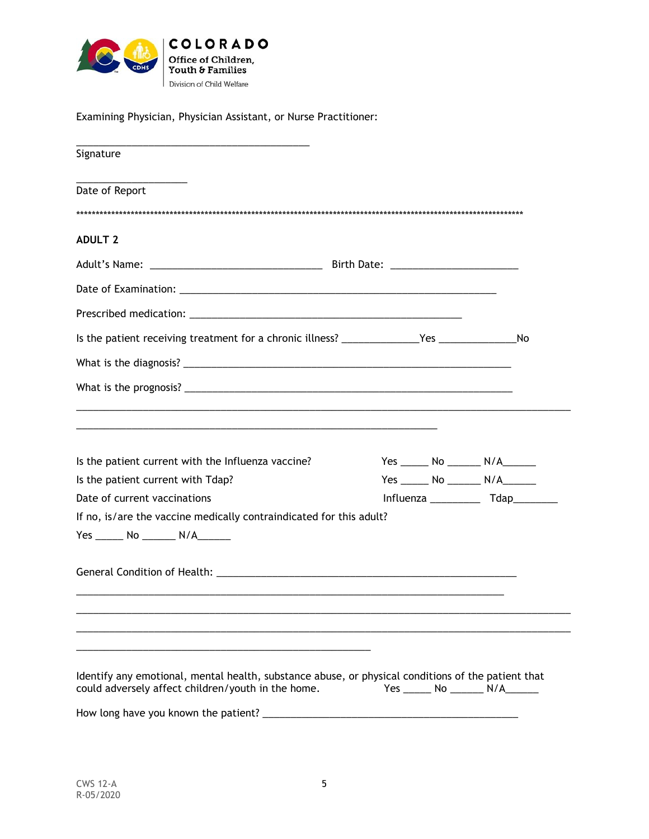

Examining Physician, Physician Assistant, or Nurse Practitioner:

| Signature                                                                                                                                                |  |  |                                                                             |
|----------------------------------------------------------------------------------------------------------------------------------------------------------|--|--|-----------------------------------------------------------------------------|
| Date of Report                                                                                                                                           |  |  |                                                                             |
| <b>ADULT 2</b>                                                                                                                                           |  |  |                                                                             |
|                                                                                                                                                          |  |  |                                                                             |
|                                                                                                                                                          |  |  |                                                                             |
|                                                                                                                                                          |  |  |                                                                             |
|                                                                                                                                                          |  |  |                                                                             |
|                                                                                                                                                          |  |  |                                                                             |
|                                                                                                                                                          |  |  |                                                                             |
| Is the patient current with the Influenza vaccine?<br>Is the patient current with Tdap?<br>Date of current vaccinations                                  |  |  | Yes ________ No _________ N/A________<br>Yes _______ No ________ N/A_______ |
| If no, is/are the vaccine medically contraindicated for this adult?<br>Yes _______ No ________ N/A_______                                                |  |  |                                                                             |
|                                                                                                                                                          |  |  |                                                                             |
| Identify any emotional, mental health, substance abuse, or physical conditions of the patient that<br>could adversely affect children/youth in the home. |  |  | Yes _______ No ________ N/A_______                                          |
| How long have you known the patient? _                                                                                                                   |  |  |                                                                             |